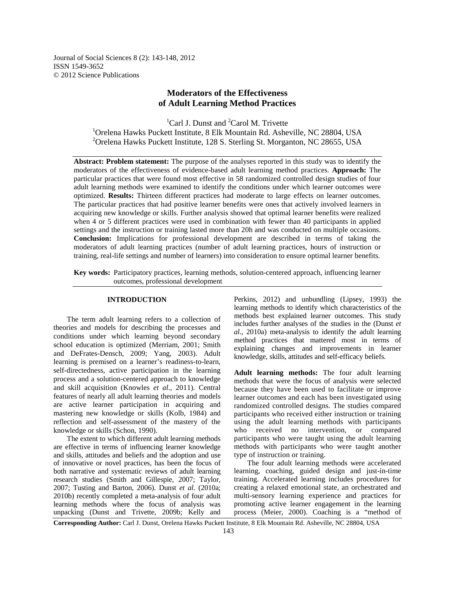Journal of Social Sciences 8 (2): 143-148, 2012 ISSN 1549-3652 © 2012 Science Publications

# **Moderators of the Effectiveness of Adult Learning Method Practices**

 ${}^{1}$ Carl J. Dunst and  ${}^{2}$ Carol M. Trivette <sup>1</sup>Orelena Hawks Puckett Institute, 8 Elk Mountain Rd. Asheville, NC 28804, USA <sup>2</sup> Orelena Hawks Puckett Institute, 128 S. Sterling St. Morganton, NC 28655, USA

**Abstract: Problem statement:** The purpose of the analyses reported in this study was to identify the moderators of the effectiveness of evidence-based adult learning method practices. **Approach:** The particular practices that were found most effective in 58 randomized controlled design studies of four adult learning methods were examined to identify the conditions under which learner outcomes were optimized. **Results:** Thirteen different practices had moderate to large effects on learner outcomes. The particular practices that had positive learner benefits were ones that actively involved learners in acquiring new knowledge or skills. Further analysis showed that optimal learner benefits were realized when 4 or 5 different practices were used in combination with fewer than 40 participants in applied settings and the instruction or training lasted more than 20h and was conducted on multiple occasions. **Conclusion:** Implications for professional development are described in terms of taking the moderators of adult learning practices (number of adult learning practices, hours of instruction or training, real-life settings and number of learners) into consideration to ensure optimal learner benefits.

**Key words:** Participatory practices, learning methods, solution-centered approach, influencing learner outcomes, professional development

## **INTRODUCTION**

 The term adult learning refers to a collection of theories and models for describing the processes and conditions under which learning beyond secondary school education is optimized (Merriam, 2001; Smith and DeFrates-Densch, 2009; Yang, 2003). Adult learning is premised on a learner's readiness-to-learn, self-directedness, active participation in the learning process and a solution-centered approach to knowledge and skill acquisition (Knowles *et al*., 2011). Central features of nearly all adult learning theories and models are active learner participation in acquiring and mastering new knowledge or skills (Kolb, 1984) and reflection and self-assessment of the mastery of the knowledge or skills (Schon, 1990).

 The extent to which different adult learning methods are effective in terms of influencing learner knowledge and skills, attitudes and beliefs and the adoption and use of innovative or novel practices, has been the focus of both narrative and systematic reviews of adult learning research studies (Smith and Gillespie, 2007; Taylor, 2007; Tusting and Barton, 2006). Dunst *et al*. (2010a; 2010b) recently completed a meta-analysis of four adult learning methods where the focus of analysis was unpacking (Dunst and Trivette, 2009b; Kelly and

Perkins, 2012) and unbundling (Lipsey, 1993) the learning methods to identify which characteristics of the methods best explained learner outcomes. This study includes further analyses of the studies in the (Dunst *et al*., 2010a) meta-analysis to identify the adult learning method practices that mattered most in terms of explaining changes and improvements in learner knowledge, skills, attitudes and self-efficacy beliefs.

**Adult learning methods:** The four adult learning methods that were the focus of analysis were selected because they have been used to facilitate or improve learner outcomes and each has been investigated using randomized controlled designs. The studies compared participants who received either instruction or training using the adult learning methods with participants who received no intervention, or compared participants who were taught using the adult learning methods with participants who were taught another type of instruction or training.

 The four adult learning methods were accelerated learning, coaching, guided design and just-in-time training. Accelerated learning includes procedures for creating a relaxed emotional state, an orchestrated and multi-sensory learning experience and practices for promoting active learner engagement in the learning process (Meier, 2000). Coaching is a "method of

**Corresponding Author:** Carl J. Dunst, Orelena Hawks Puckett Institute, 8 Elk Mountain Rd. Asheville, NC 28804, USA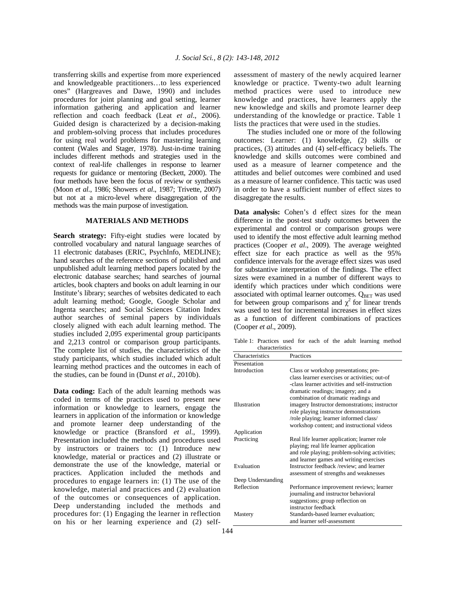transferring skills and expertise from more experienced and knowledgeable practitioners…to less experienced ones" (Hargreaves and Dawe, 1990) and includes procedures for joint planning and goal setting, learner information gathering and application and learner reflection and coach feedback (Leat *et al*., 2006). Guided design is characterized by a decision-making and problem-solving process that includes procedures for using real world problems for mastering learning content (Wales and Stager, 1978). Just-in-time training includes different methods and strategies used in the context of real-life challenges in response to learner requests for guidance or mentoring (Beckett, 2000). The four methods have been the focus of review or synthesis (Moon *et al*., 1986; Showers *et al*., 1987; Trivette, 2007) but not at a micro-level where disaggregation of the methods was the main purpose of investigation.

# **MATERIALS AND METHODS**

**Search strategy:** Fifty-eight studies were located by controlled vocabulary and natural language searches of 11 electronic databases (ERIC, PsychInfo, MEDLINE); hand searches of the reference sections of published and unpublished adult learning method papers located by the electronic database searches; hand searches of journal articles, book chapters and books on adult learning in our Institute's library; searches of websites dedicated to each adult learning method; Google, Google Scholar and Ingenta searches; and Social Sciences Citation Index author searches of seminal papers by individuals closely aligned with each adult learning method. The studies included 2,095 experimental group participants and 2,213 control or comparison group participants. The complete list of studies, the characteristics of the study participants, which studies included which adult learning method practices and the outcomes in each of the studies, can be found in (Dunst *et al*., 2010b).

**Data coding:** Each of the adult learning methods was coded in terms of the practices used to present new information or knowledge to learners, engage the learners in application of the information or knowledge and promote learner deep understanding of the knowledge or practice (Bransford *et al*., 1999). Presentation included the methods and procedures used by instructors or trainers to: (1) Introduce new knowledge, material or practices and (2) illustrate or demonstrate the use of the knowledge, material or practices. Application included the methods and procedures to engage learners in: (1) The use of the knowledge, material and practices and (2) evaluation of the outcomes or consequences of application. Deep understanding included the methods and procedures for: (1) Engaging the learner in reflection on his or her learning experience and (2) selfassessment of mastery of the newly acquired learner knowledge or practice. Twenty-two adult learning method practices were used to introduce new knowledge and practices, have learners apply the new knowledge and skills and promote learner deep understanding of the knowledge or practice. Table 1 lists the practices that were used in the studies.

 The studies included one or more of the following outcomes: Learner: (1) knowledge, (2) skills or practices, (3) attitudes and (4) self-efficacy beliefs. The knowledge and skills outcomes were combined and used as a measure of learner competence and the attitudes and belief outcomes were combined and used as a measure of learner confidence. This tactic was used in order to have a sufficient number of effect sizes to disaggregate the results.

**Data analysis:** Cohen's d effect sizes for the mean difference in the post-test study outcomes between the experimental and control or comparison groups were used to identify the most effective adult learning method practices (Cooper *et al*., 2009). The average weighted effect size for each practice as well as the 95% confidence intervals for the average effect sizes was used for substantive interpretation of the findings. The effect sizes were examined in a number of different ways to identify which practices under which conditions were associated with optimal learner outcomes.  $Q_{BET}$  was used for between group comparisons and  $\chi^2$  for linear trends was used to test for incremental increases in effect sizes as a function of different combinations of practices (Cooper *et al*., 2009).

Table 1: Practices used for each of the adult learning method characteristics

| Characteristics    | Practices                                      |  |  |
|--------------------|------------------------------------------------|--|--|
| Presentation       |                                                |  |  |
| Introduction       | Class or workshop presentations; pre-          |  |  |
|                    | class learner exercises or activities; out-of  |  |  |
|                    | -class learner activities and self-instruction |  |  |
|                    | dramatic readings; imagery; and a              |  |  |
|                    | combination of dramatic readings and           |  |  |
| Illustration       | imagery Instructor demonstrations; instructor  |  |  |
|                    | role playing instructor demonstrations         |  |  |
|                    | /role playing; learner informed class/         |  |  |
|                    | workshop content; and instructional videos     |  |  |
| Application        |                                                |  |  |
| Practicing         | Real life learner application; learner role    |  |  |
|                    | playing; real life learner application         |  |  |
|                    | and role playing; problem-solving activities;  |  |  |
|                    | and learner games and writing exercises        |  |  |
| Evaluation         | Instructor feedback /review; and learner       |  |  |
|                    | assessment of strengths and weaknesses         |  |  |
| Deep Understanding |                                                |  |  |
| Reflection         | Performance improvement reviews; learner       |  |  |
|                    | journaling and instructor behavioral           |  |  |
|                    | suggestions; group reflection on               |  |  |
|                    | instructor feedback                            |  |  |
| Mastery            | Standards-based learner evaluation;            |  |  |
|                    | and learner self-assessment                    |  |  |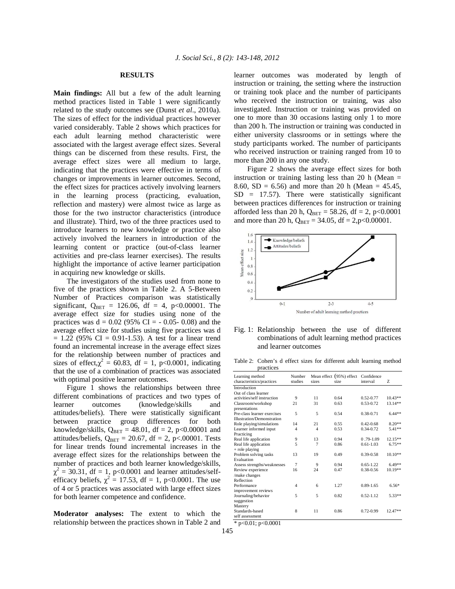## **RESULTS**

**Main findings:** All but a few of the adult learning method practices listed in Table 1 were significantly related to the study outcomes see (Dunst *et al*., 2010a). The sizes of effect for the individual practices however varied considerably. Table 2 shows which practices for each adult learning method characteristic were associated with the largest average effect sizes. Several things can be discerned from these results. First, the average effect sizes were all medium to large, indicating that the practices were effective in terms of changes or improvements in learner outcomes. Second, the effect sizes for practices actively involving learners in the learning process (practicing, evaluation, reflection and mastery) were almost twice as large as those for the two instructor characteristics (introduce and illustrate). Third, two of the three practices used to introduce learners to new knowledge or practice also actively involved the learners in introduction of the learning content or practice (out-of-class learner activities and pre-class learner exercises). The results highlight the importance of active learner participation in acquiring new knowledge or skills.

 The investigators of the studies used from none to five of the practices shown in Table 2. A 5-Between Number of Practices comparison was statistically significant,  $Q_{BET} = 126.06$ , df = 4, p<0.00001. The average effect size for studies using none of the practices was  $d = 0.02$  (95% CI = - 0.05- 0.08) and the average effect size for studies using five practices was d  $= 1.22$  (95% CI = 0.91-1.53). A test for a linear trend found an incremental increase in the average effect sizes for the relationship between number of practices and sizes of effect, $\chi^2 = 60.83$ , df = 1, p<0.0001, indicating that the use of a combination of practices was associated with optimal positive learner outcomes.

 Figure 1 shows the relationships between three different combinations of practices and two types of learner outcomes (knowledge/skills and attitudes/beliefs). There were statistically significant between practice group differences for both knowledge/skills,  $Q_{BET} = 48.01$ , df = 2, p<0.00001 and attitudes/beliefs,  $Q_{BET} = 20.67$ , df = 2, p<.00001. Tests for linear trends found incremental increases in the average effect sizes for the relationships between the number of practices and both learner knowledge/skills,  $\chi^2$  = 30.31, df = 1, p<0.0001 and learner attitudes/selfefficacy beliefs,  $\chi^2 = 17.53$ , df = 1, p<0.0001. The use of 4 or 5 practices was associated with large effect sizes for both learner competence and confidence.

**Moderator analyses:** The extent to which the relationship between the practices shown in Table 2 and learner outcomes was moderated by length of instruction or training, the setting where the instruction or training took place and the number of participants who received the instruction or training, was also investigated. Instruction or training was provided on one to more than 30 occasions lasting only 1 to more than 200 h. The instruction or training was conducted in either university classrooms or in settings where the study participants worked. The number of participants who received instruction or training ranged from 10 to more than 200 in any one study.

 Figure 2 shows the average effect sizes for both instruction or training lasting less than 20 h (Mean  $=$ 8.60, SD = 6.56) and more than 20 h (Mean = 45.45,  $SD = 17.57$ . There were statistically significant between practices differences for instruction or training afforded less than 20 h,  $Q_{\text{BET}} = 58.26$ , df = 2, p<0.0001 and more than 20 h,  $Q_{BET} = 34.05$ , df = 2,p<0.00001.





Table 2: Cohen's d effect sizes for different adult learning method practices

| Learning method<br>characteristics/practices | Number<br>studies | sizes          | Mean effect (95%) effect<br>size | Confidence<br>interval | Z         |
|----------------------------------------------|-------------------|----------------|----------------------------------|------------------------|-----------|
| Introduction                                 |                   |                |                                  |                        |           |
| Out of class learner                         |                   |                |                                  |                        |           |
| activities/self instruction                  | 9                 | 11             | 0.64                             | $0.52 - 0.77$          | $10.43**$ |
| Classroom/workshop                           | 21                | 31             | 0.63                             | $0.53 - 0.72$          | 13.14**   |
| presentations                                |                   |                |                                  |                        |           |
| Pre-class learner exercises                  | 5                 | 5              | 0.54                             | 0.38-0.71              | $6.44**$  |
| <b>Illustration/Demonstration</b>            |                   |                |                                  |                        |           |
| Role playing/simulations                     | 14                | 21             | 0.55                             | $0.42 - 0.68$          | $8.20**$  |
| Learner informed input                       | 4                 | $\overline{4}$ | 0.53                             | $0.34 - 0.72$          | $5.41**$  |
| Practicing                                   |                   |                |                                  |                        |           |
| Real life application                        | 9                 | 13             | 0.94                             | $0.79 - 1.09$          | 12.15**   |
| Real life application                        | 5                 | 7              | 0.86                             | $0.61 - 1.03$          | $6.75**$  |
| + role playing                               |                   |                |                                  |                        |           |
| Problem solving tasks                        | 13                | 19             | 0.49                             | $0.39 - 0.58$          | $10.10**$ |
| Evaluation                                   |                   |                |                                  |                        |           |
| Assess strengths/weaknesses                  | $\overline{7}$    | 9              | 0.94                             | $0.65 - 1.22$          | $6.49**$  |
| Review experience                            | 16                | 24             | 0.47                             | 0.38-0.56              | 10.19**   |
| /make changes                                |                   |                |                                  |                        |           |
| Reflection                                   |                   |                |                                  |                        |           |
| Performance                                  | 4                 | 6              | 1.27                             | $0.89 - 1.65$          | $6.56*$   |
| improvement reviews                          |                   |                |                                  |                        |           |
| Journaling/behavior                          | 5                 | 5              | 0.82                             | $0.52 - 1.12$          | $5.33**$  |
| suggestion                                   |                   |                |                                  |                        |           |
| Mastery                                      |                   |                |                                  |                        |           |
| Standards-based                              | 8                 | 11             | 0.86                             | $0.72 - 0.99$          | 12.47**   |
| self assessment                              |                   |                |                                  |                        |           |

\* p<0.01; p<0.0001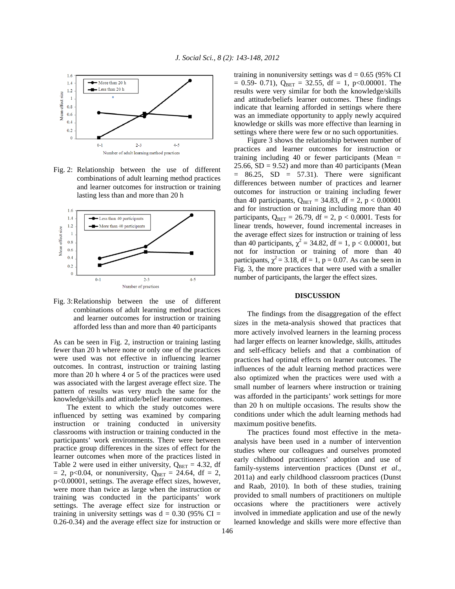

Fig. 2: Relationship between the use of different combinations of adult learning method practices and learner outcomes for instruction or training lasting less than and more than 20 h



Fig. 3: Relationship between the use of different combinations of adult learning method practices and learner outcomes for instruction or training afforded less than and more than 40 participants

As can be seen in Fig. 2, instruction or training lasting fewer than 20 h where none or only one of the practices were used was not effective in influencing learner outcomes. In contrast, instruction or training lasting more than 20 h where 4 or 5 of the practices were used was associated with the largest average effect size. The pattern of results was very much the same for the knowledge/skills and attitude/belief learner outcomes.

 The extent to which the study outcomes were influenced by setting was examined by comparing instruction or training conducted in university classrooms with instruction or training conducted in the participants' work environments. There were between practice group differences in the sizes of effect for the learner outcomes when more of the practices listed in Table 2 were used in either university,  $Q_{\text{BET}} = 4.32$ , df  $= 2$ , p<0.04, or nonuniversity,  $Q_{BET} = 24.64$ , df = 2, p<0.00001, settings. The average effect sizes, however, were more than twice as large when the instruction or training was conducted in the participants' work settings. The average effect size for instruction or training in university settings was  $d = 0.30$  (95% CI = 0.26-0.34) and the average effect size for instruction or training in nonuniversity settings was  $d = 0.65$  (95% CI  $= 0.59 - 0.71$ ,  $Q_{BET} = 32.55$ , df = 1, p<0.00001. The results were very similar for both the knowledge/skills and attitude/beliefs learner outcomes. These findings indicate that learning afforded in settings where there was an immediate opportunity to apply newly acquired knowledge or skills was more effective than learning in settings where there were few or no such opportunities.

 Figure 3 shows the relationship between number of practices and learner outcomes for instruction or training including 40 or fewer participants (Mean =  $25.66$ ,  $SD = 9.52$ ) and more than 40 participants (Mean  $= 86.25$ , SD  $= 57.31$ ). There were significant differences between number of practices and learner outcomes for instruction or training including fewer than 40 participants,  $Q_{BET} = 34.83$ , df = 2, p < 0.00001 and for instruction or training including more than 40 participants,  $Q_{\text{BET}} = 26.79$ , df = 2, p < 0.0001. Tests for linear trends, however, found incremental increases in the average effect sizes for instruction or training of less than 40 participants,  $\chi^2 = 34.82$ , df = 1, p < 0.00001, but not for instruction or training of more than 40 participants,  $\chi^2$  = 3.18, df = 1, p = 0.07. As can be seen in Fig. 3, the more practices that were used with a smaller number of participants, the larger the effect sizes.

#### **DISCUSSION**

 The findings from the disaggregation of the effect sizes in the meta-analysis showed that practices that more actively involved learners in the learning process had larger effects on learner knowledge, skills, attitudes and self-efficacy beliefs and that a combination of practices had optimal effects on learner outcomes. The influences of the adult learning method practices were also optimized when the practices were used with a small number of learners where instruction or training was afforded in the participants' work settings for more than 20 h on multiple occasions. The results show the conditions under which the adult learning methods had maximum positive benefits.

 The practices found most effective in the metaanalysis have been used in a number of intervention studies where our colleagues and ourselves promoted early childhood practitioners' adoption and use of family-systems intervention practices (Dunst *et al*., 2011a) and early childhood classroom practices (Dunst and Raab, 2010). In both of these studies, training provided to small numbers of practitioners on multiple occasions where the practitioners were actively involved in immediate application and use of the newly learned knowledge and skills were more effective than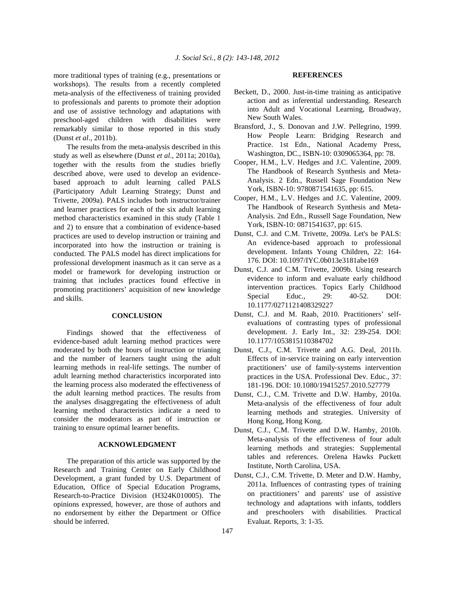more traditional types of training (e.g., presentations or workshops). The results from a recently completed meta-analysis of the effectiveness of training provided to professionals and parents to promote their adoption and use of assistive technology and adaptations with preschool-aged children with disabilities were remarkably similar to those reported in this study (Dunst *et al*., 2011b).

 The results from the meta-analysis described in this study as well as elsewhere (Dunst *et al*., 2011a; 2010a), together with the results from the studies briefly described above, were used to develop an evidencebased approach to adult learning called PALS (Participatory Adult Learning Strategy; Dunst and Trivette, 2009a). PALS includes both instructor/trainer and learner practices for each of the six adult learning method characteristics examined in this study (Table 1 and 2) to ensure that a combination of evidence-based practices are used to develop instruction or training and incorporated into how the instruction or training is conducted. The PALS model has direct implications for professional development inasmuch as it can serve as a model or framework for developing instruction or training that includes practices found effective in promoting practitioners' acquisition of new knowledge and skills.

#### **CONCLUSION**

 Findings showed that the effectiveness of evidence-based adult learning method practices were moderated by both the hours of instruction or trianing and the number of learners taught using the adult learning methods in real-life settings. The number of adult learning method characteristics incorporated into the learning process also moderated the effectiveness of the adult learning method practices. The results from the analyses disaggregating the effectiveness of adult learning method characteristics indicate a need to consider the moderators as part of instruction or training to ensure optimal learner benefits.

#### **ACKNOWLEDGMENT**

 The preparation of this article was supported by the Research and Training Center on Early Childhood Development, a grant funded by U.S. Department of Education, Office of Special Education Programs, Research-to-Practice Division (H324K010005). The opinions expressed, however, are those of authors and no endorsement by either the Department or Office should be inferred.

#### **REFERENCES**

- Beckett, D., 2000. Just-in-time training as anticipative action and as inferential understanding. Research into Adult and Vocational Learning, Broadway, New South Wales.
- Bransford, J., S. Donovan and J.W. Pellegrino, 1999. How People Learn: Bridging Research and Practice. 1st Edn., National Academy Press, Washington, DC., ISBN-10: 0309065364, pp: 78.
- Cooper, H.M., L.V. Hedges and J.C. Valentine, 2009. The Handbook of Research Synthesis and Meta-Analysis. 2 Edn., Russell Sage Foundation New York, ISBN-10: 9780871541635, pp: 615.
- Cooper, H.M., L.V. Hedges and J.C. Valentine, 2009. The Handbook of Research Synthesis and Meta-Analysis. 2nd Edn., Russell Sage Foundation, New York, ISBN-10: 0871541637, pp: 615.
- Dunst, C.J. and C.M. Trivette, 2009a. Let's be PALS: An evidence-based approach to professional development. Infants Young Children, 22: 164- 176. DOI: 10.1097/IYC.0b013e3181abe169
- Dunst, C.J. and C.M. Trivette, 2009b. Using research evidence to inform and evaluate early childhood intervention practices. Topics Early Childhood Special Educ., 29: 40-52. DOI: 10.1177/0271121408329227
- Dunst, C.J. and M. Raab, 2010. Practitioners' selfevaluations of contrasting types of professional development. J. Early Int., 32: 239-254. DOI: 10.1177/1053815110384702
- Dunst, C.J., C.M. Trivette and A.G. Deal, 2011b. Effects of in‐service training on early intervention practitioners' use of family‐systems intervention practices in the USA. Professional Dev. Educ., 37: 181-196. DOI: 10.1080/19415257.2010.527779
- Dunst, C.J., C.M. Trivette and D.W. Hamby, 2010a. Meta-analysis of the effectiveness of four adult learning methods and strategies. University of Hong Kong, Hong Kong.
- Dunst, C.J., C.M. Trivette and D.W. Hamby, 2010b. Meta-analysis of the effectiveness of four adult learning methods and strategies: Supplemental tables and references. Orelena Hawks Puckett Institute, North Carolina, USA.
- Dunst, C.J., C.M. Trivette, D. Meter and D.W. Hamby, 2011a. Influences of contrasting types of training on practitioners' and parents' use of assistive technology and adaptations with infants, toddlers and preschoolers with disabilities. Practical Evaluat. Reports, 3: 1-35.